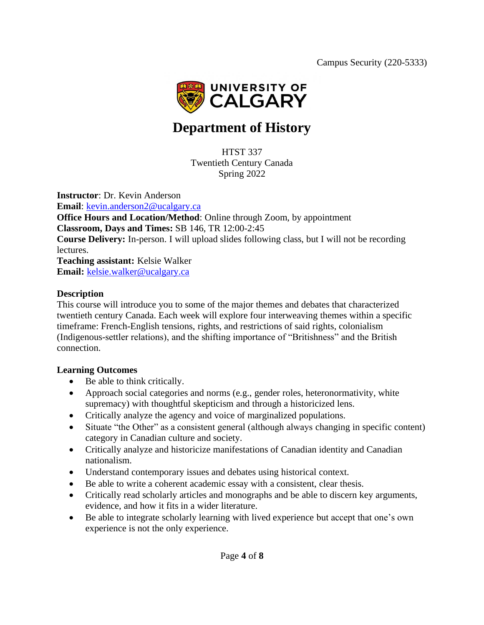

# **Department of History**

HTST 337 Twentieth Century Canada Spring 2022

**Instructor**: Dr. Kevin Anderson

**Email**: [kevin.anderson2@ucalgary.ca](mailto:kevin.anderson2@ucalgary.ca) **Office Hours and Location/Method**: Online through Zoom, by appointment **Classroom, Days and Times:** SB 146, TR 12:00-2:45 **Course Delivery:** In-person. I will upload slides following class, but I will not be recording lectures. **Teaching assistant:** Kelsie Walker **Email:** [kelsie.walker@ucalgary.ca](mailto:kelsie.walker@ucalgary.ca)

### **Description**

This course will introduce you to some of the major themes and debates that characterized twentieth century Canada. Each week will explore four interweaving themes within a specific timeframe: French-English tensions, rights, and restrictions of said rights, colonialism (Indigenous-settler relations), and the shifting importance of "Britishness" and the British connection.

### **Learning Outcomes**

- Be able to think critically.
- Approach social categories and norms (e.g., gender roles, heteronormativity, white supremacy) with thoughtful skepticism and through a historicized lens.
- Critically analyze the agency and voice of marginalized populations.
- Situate "the Other" as a consistent general (although always changing in specific content) category in Canadian culture and society.
- Critically analyze and historicize manifestations of Canadian identity and Canadian nationalism.
- Understand contemporary issues and debates using historical context.
- Be able to write a coherent academic essay with a consistent, clear thesis.
- Critically read scholarly articles and monographs and be able to discern key arguments, evidence, and how it fits in a wider literature.
- Be able to integrate scholarly learning with lived experience but accept that one's own experience is not the only experience.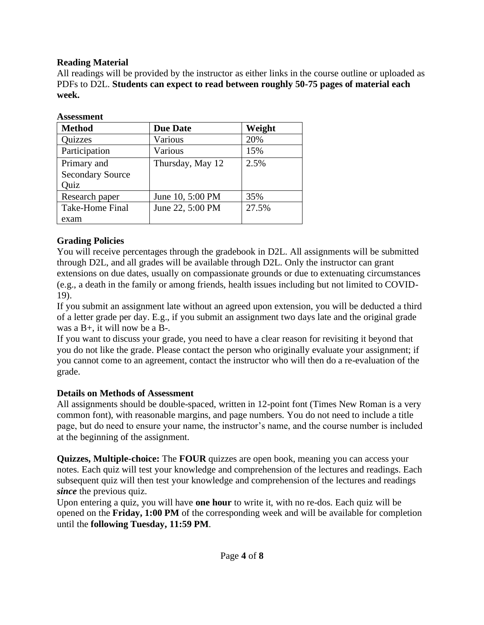### **Reading Material**

All readings will be provided by the instructor as either links in the course outline or uploaded as PDFs to D2L. **Students can expect to read between roughly 50-75 pages of material each week.**

| <b>Assessment</b>       |                           |        |  |  |
|-------------------------|---------------------------|--------|--|--|
| <b>Method</b>           | <b>Due Date</b>           | Weight |  |  |
| Quizzes                 | Various                   | 20%    |  |  |
| Participation           | Various                   | 15%    |  |  |
| Primary and             | Thursday, May 12          | 2.5%   |  |  |
| <b>Secondary Source</b> |                           |        |  |  |
| Quiz                    |                           |        |  |  |
| Research paper          | June 10, 5:00 PM          | 35%    |  |  |
| Take-Home Final         | 27.5%<br>June 22, 5:00 PM |        |  |  |
| exam                    |                           |        |  |  |

### **Grading Policies**

You will receive percentages through the gradebook in D2L. All assignments will be submitted through D2L, and all grades will be available through D2L. Only the instructor can grant extensions on due dates, usually on compassionate grounds or due to extenuating circumstances (e.g., a death in the family or among friends, health issues including but not limited to COVID-19).

If you submit an assignment late without an agreed upon extension, you will be deducted a third of a letter grade per day. E.g., if you submit an assignment two days late and the original grade was a B+, it will now be a B-.

If you want to discuss your grade, you need to have a clear reason for revisiting it beyond that you do not like the grade. Please contact the person who originally evaluate your assignment; if you cannot come to an agreement, contact the instructor who will then do a re-evaluation of the grade.

### **Details on Methods of Assessment**

All assignments should be double-spaced, written in 12-point font (Times New Roman is a very common font), with reasonable margins, and page numbers. You do not need to include a title page, but do need to ensure your name, the instructor's name, and the course number is included at the beginning of the assignment.

**Quizzes, Multiple-choice:** The **FOUR** quizzes are open book, meaning you can access your notes. Each quiz will test your knowledge and comprehension of the lectures and readings. Each subsequent quiz will then test your knowledge and comprehension of the lectures and readings *since* the previous quiz.

Upon entering a quiz, you will have **one hour** to write it, with no re-dos. Each quiz will be opened on the **Friday, 1:00 PM** of the corresponding week and will be available for completion until the **following Tuesday, 11:59 PM**.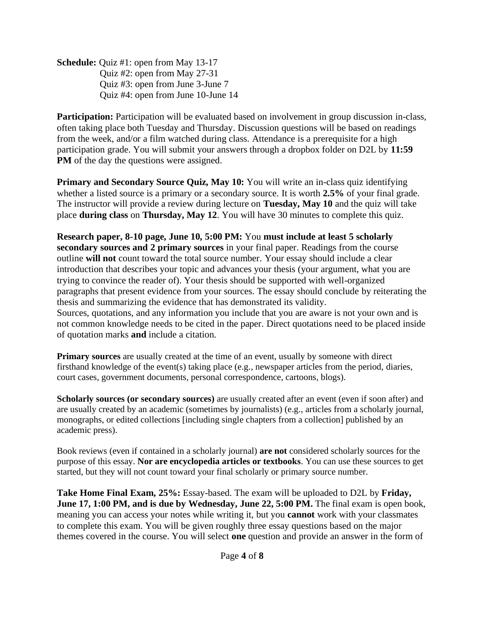**Schedule:** Quiz #1: open from May 13-17 Quiz #2: open from May 27-31 Quiz #3: open from June 3-June 7 Quiz #4: open from June 10-June 14

**Participation:** Participation will be evaluated based on involvement in group discussion in-class, often taking place both Tuesday and Thursday. Discussion questions will be based on readings from the week, and/or a film watched during class. Attendance is a prerequisite for a high participation grade. You will submit your answers through a dropbox folder on D2L by **11:59 PM** of the day the questions were assigned.

**Primary and Secondary Source Quiz, May 10:** You will write an in-class quiz identifying whether a listed source is a primary or a secondary source. It is worth **2.5%** of your final grade. The instructor will provide a review during lecture on **Tuesday, May 10** and the quiz will take place **during class** on **Thursday, May 12**. You will have 30 minutes to complete this quiz.

**Research paper, 8-10 page, June 10, 5:00 PM:** You **must include at least 5 scholarly secondary sources and 2 primary sources** in your final paper. Readings from the course outline **will not** count toward the total source number. Your essay should include a clear introduction that describes your topic and advances your thesis (your argument, what you are trying to convince the reader of). Your thesis should be supported with well-organized paragraphs that present evidence from your sources. The essay should conclude by reiterating the thesis and summarizing the evidence that has demonstrated its validity. Sources, quotations, and any information you include that you are aware is not your own and is not common knowledge needs to be cited in the paper. Direct quotations need to be placed inside of quotation marks **and** include a citation.

**Primary sources** are usually created at the time of an event, usually by someone with direct firsthand knowledge of the event(s) taking place (e.g., newspaper articles from the period, diaries, court cases, government documents, personal correspondence, cartoons, blogs).

**Scholarly sources (or secondary sources)** are usually created after an event (even if soon after) and are usually created by an academic (sometimes by journalists) (e.g., articles from a scholarly journal, monographs, or edited collections [including single chapters from a collection] published by an academic press).

Book reviews (even if contained in a scholarly journal) **are not** considered scholarly sources for the purpose of this essay. **Nor are encyclopedia articles or textbooks**. You can use these sources to get started, but they will not count toward your final scholarly or primary source number.

**Take Home Final Exam, 25%:** Essay-based. The exam will be uploaded to D2L by **Friday, June 17, 1:00 PM, and is due by Wednesday, June 22, 5:00 PM.** The final exam is open book, meaning you can access your notes while writing it, but you **cannot** work with your classmates to complete this exam. You will be given roughly three essay questions based on the major themes covered in the course. You will select **one** question and provide an answer in the form of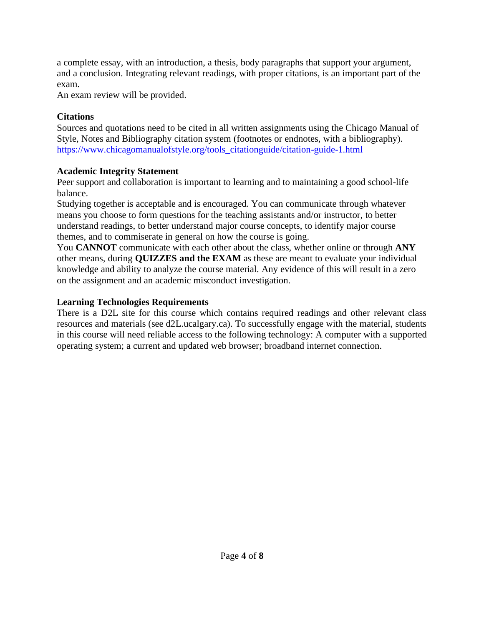a complete essay, with an introduction, a thesis, body paragraphs that support your argument, and a conclusion. Integrating relevant readings, with proper citations, is an important part of the exam.

An exam review will be provided.

### **Citations**

Sources and quotations need to be cited in all written assignments using the Chicago Manual of Style, Notes and Bibliography citation system (footnotes or endnotes, with a bibliography). [https://www.chicagomanualofstyle.org/tools\\_citationguide/citation-guide-1.html](https://www.chicagomanualofstyle.org/tools_citationguide/citation-guide-1.html)

# **Academic Integrity Statement**

Peer support and collaboration is important to learning and to maintaining a good school-life balance.

Studying together is acceptable and is encouraged. You can communicate through whatever means you choose to form questions for the teaching assistants and/or instructor, to better understand readings, to better understand major course concepts, to identify major course themes, and to commiserate in general on how the course is going.

You **CANNOT** communicate with each other about the class, whether online or through **ANY**  other means, during **QUIZZES and the EXAM** as these are meant to evaluate your individual knowledge and ability to analyze the course material. Any evidence of this will result in a zero on the assignment and an academic misconduct investigation.

### **Learning Technologies Requirements**

There is a D2L site for this course which contains required readings and other relevant class resources and materials (see d2L.ucalgary.ca). To successfully engage with the material, students in this course will need reliable access to the following technology: A computer with a supported operating system; a current and updated web browser; broadband internet connection.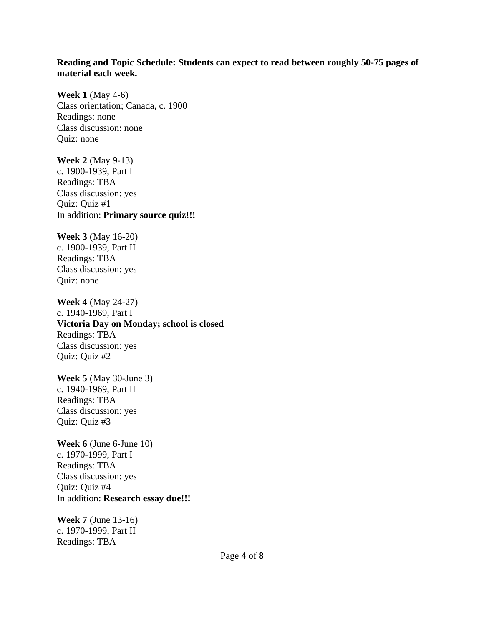#### **Reading and Topic Schedule: Students can expect to read between roughly 50-75 pages of material each week.**

**Week 1** (May 4-6) Class orientation; Canada, c. 1900 Readings: none Class discussion: none Quiz: none

**Week 2** (May 9-13) c. 1900-1939, Part I Readings: TBA Class discussion: yes Quiz: Quiz #1 In addition: **Primary source quiz!!!**

**Week 3** (May 16-20) c. 1900-1939, Part II Readings: TBA Class discussion: yes Quiz: none

**Week 4** (May 24-27) c. 1940-1969, Part I **Victoria Day on Monday; school is closed** Readings: TBA Class discussion: yes Quiz: Quiz #2

**Week 5** (May 30-June 3) c. 1940-1969, Part II Readings: TBA Class discussion: yes Quiz: Quiz #3

**Week 6** (June 6-June 10) c. 1970-1999, Part I Readings: TBA Class discussion: yes Quiz: Quiz #4 In addition: **Research essay due!!!**

**Week 7** (June 13-16) c. 1970-1999, Part II Readings: TBA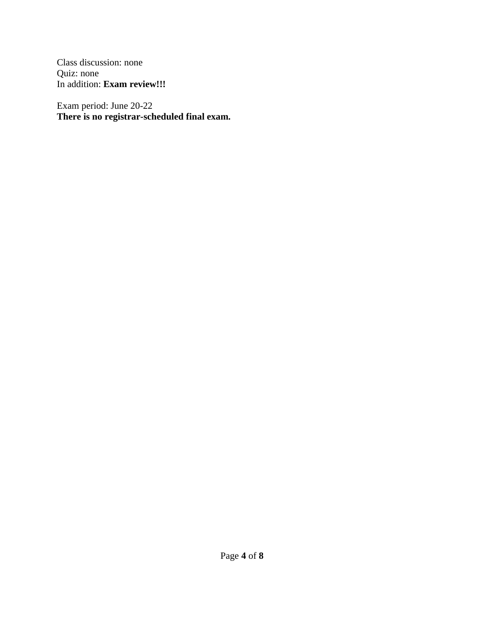Class discussion: none Quiz: none In addition: **Exam review!!!**

Exam period: June 20-22 **There is no registrar-scheduled final exam.**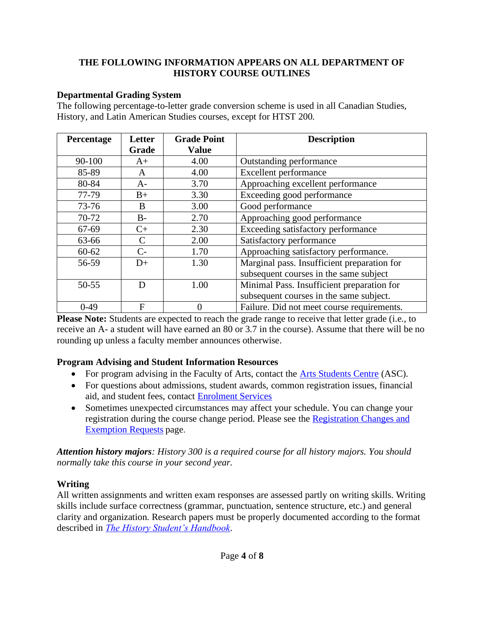### **THE FOLLOWING INFORMATION APPEARS ON ALL DEPARTMENT OF HISTORY COURSE OUTLINES**

### **Departmental Grading System**

The following percentage-to-letter grade conversion scheme is used in all Canadian Studies, History, and Latin American Studies courses, except for HTST 200.

| Percentage | Letter<br>Grade | <b>Grade Point</b><br><b>Value</b> | <b>Description</b>                          |
|------------|-----------------|------------------------------------|---------------------------------------------|
|            |                 |                                    |                                             |
| 90-100     | $A+$            | 4.00                               | Outstanding performance                     |
| 85-89      | A               | 4.00                               | <b>Excellent performance</b>                |
| 80-84      | $A-$            | 3.70                               | Approaching excellent performance           |
| 77-79      | $B+$            | 3.30                               | Exceeding good performance                  |
| 73-76      | B               | 3.00                               | Good performance                            |
| 70-72      | $B -$           | 2.70                               | Approaching good performance                |
| 67-69      | $C+$            | 2.30                               | Exceeding satisfactory performance          |
| 63-66      | C               | 2.00                               | Satisfactory performance                    |
| $60 - 62$  | $C-$            | 1.70                               | Approaching satisfactory performance.       |
| 56-59      | $D+$            | 1.30                               | Marginal pass. Insufficient preparation for |
|            |                 |                                    | subsequent courses in the same subject      |
| $50 - 55$  | D               | 1.00                               | Minimal Pass. Insufficient preparation for  |
|            |                 |                                    | subsequent courses in the same subject.     |
| $0-49$     | F               |                                    | Failure. Did not meet course requirements.  |

**Please Note:** Students are expected to reach the grade range to receive that letter grade (i.e., to receive an A- a student will have earned an 80 or 3.7 in the course). Assume that there will be no rounding up unless a faculty member announces otherwise.

### **Program Advising and Student Information Resources**

- For program advising in the Faculty of Arts, contact the [Arts Students Centre](about:blank) (ASC).
- For questions about admissions, student awards, common registration issues, financial aid, and student fees, contact [Enrolment Services](about:blank)
- Sometimes unexpected circumstances may affect your schedule. You can change your registration during the course change period. Please see the [Registration Changes and](about:blank)  [Exemption Requests](about:blank) page.

*Attention history majors: History 300 is a required course for all history majors. You should normally take this course in your second year.*

### **Writing**

All written assignments and written exam responses are assessed partly on writing skills. Writing skills include surface correctness (grammar, punctuation, sentence structure, etc.) and general clarity and organization. Research papers must be properly documented according to the format described in *[The History Student's Handbook](about:blank)*.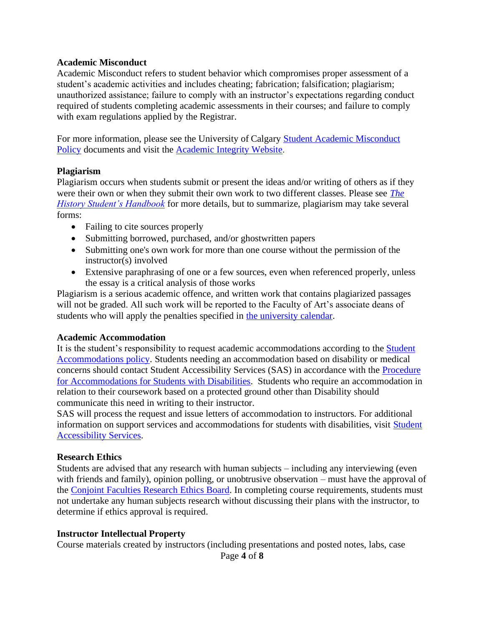#### **Academic Misconduct**

Academic Misconduct refers to student behavior which compromises proper assessment of a student's academic activities and includes cheating; fabrication; falsification; plagiarism; unauthorized assistance; failure to comply with an instructor's expectations regarding conduct required of students completing academic assessments in their courses; and failure to comply with exam regulations applied by the Registrar.

For more information, please see the University of Calgary [Student Academic Misconduct](about:blank)  [Policy](about:blank) documents and visit the [Academic Integrity Website](about:blank).

#### **Plagiarism**

Plagiarism occurs when students submit or present the ideas and/or writing of others as if they were their own or when they submit their own work to two different classes. Please see *[The](about:blank)  [History Student's Handbook](about:blank)* for more details, but to summarize, plagiarism may take several forms:

- Failing to cite sources properly
- Submitting borrowed, purchased, and/or ghostwritten papers
- Submitting one's own work for more than one course without the permission of the instructor(s) involved
- Extensive paraphrasing of one or a few sources, even when referenced properly, unless the essay is a critical analysis of those works

Plagiarism is a serious academic offence, and written work that contains plagiarized passages will not be graded. All such work will be reported to the Faculty of Art's associate deans of students who will apply the penalties specified in [the university calendar.](about:blank)

#### **Academic Accommodation**

It is the student's responsibility to request academic accommodations according to the [Student](about:blank)  [Accommodations policy.](about:blank) Students needing an accommodation based on disability or medical concerns should contact Student Accessibility Services (SAS) in accordance with the [Procedure](about:blank)  [for Accommodations for Students with Disabilities.](about:blank) Students who require an accommodation in relation to their coursework based on a protected ground other than Disability should communicate this need in writing to their instructor.

SAS will process the request and issue letters of accommodation to instructors. For additional information on support services and accommodations for students with disabilities, visit [Student](about:blank) [Accessibility Services.](about:blank)

#### **Research Ethics**

Students are advised that any research with human subjects – including any interviewing (even with friends and family), opinion polling, or unobtrusive observation – must have the approval of the [Conjoint Faculties Research Ethics Board.](about:blank) In completing course requirements, students must not undertake any human subjects research without discussing their plans with the instructor, to determine if ethics approval is required.

#### **Instructor Intellectual Property**

Course materials created by instructors (including presentations and posted notes, labs, case

Page **4** of **8**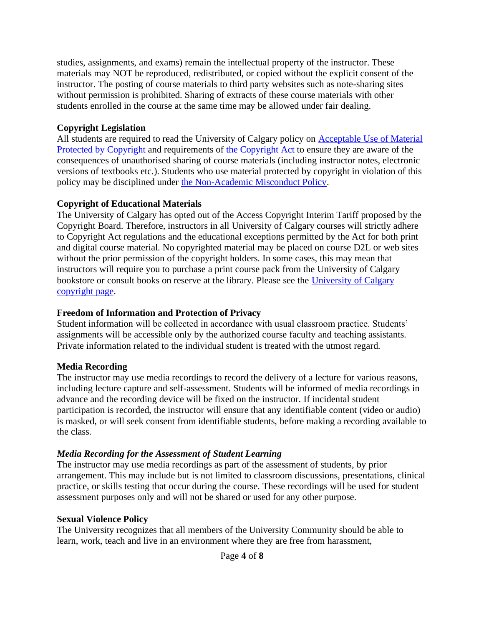studies, assignments, and exams) remain the intellectual property of the instructor. These materials may NOT be reproduced, redistributed, or copied without the explicit consent of the instructor. The posting of course materials to third party websites such as note-sharing sites without permission is prohibited. Sharing of extracts of these course materials with other students enrolled in the course at the same time may be allowed under fair dealing.

### **Copyright Legislation**

All students are required to read the University of Calgary policy on [Acceptable Use of Material](about:blank)  [Protected by Copyright](about:blank) and requirements of [the Copyright Act](about:blank) to ensure they are aware of the consequences of unauthorised sharing of course materials (including instructor notes, electronic versions of textbooks etc.). Students who use material protected by copyright in violation of this policy may be disciplined under [the Non-Academic Misconduct Policy.](about:blank)

# **Copyright of Educational Materials**

The University of Calgary has opted out of the Access Copyright Interim Tariff proposed by the Copyright Board. Therefore, instructors in all University of Calgary courses will strictly adhere to Copyright Act regulations and the educational exceptions permitted by the Act for both print and digital course material. No copyrighted material may be placed on course D2L or web sites without the prior permission of the copyright holders. In some cases, this may mean that instructors will require you to purchase a print course pack from the University of Calgary bookstore or consult books on reserve at the library. Please see the [University of Calgary](about:blank)  [copyright page.](about:blank)

# **Freedom of Information and Protection of Privacy**

Student information will be collected in accordance with usual classroom practice. Students' assignments will be accessible only by the authorized course faculty and teaching assistants. Private information related to the individual student is treated with the utmost regard.

# **Media Recording**

The instructor may use media recordings to record the delivery of a lecture for various reasons, including lecture capture and self-assessment. Students will be informed of media recordings in advance and the recording device will be fixed on the instructor. If incidental student participation is recorded, the instructor will ensure that any identifiable content (video or audio) is masked, or will seek consent from identifiable students, before making a recording available to the class.

# *Media Recording for the Assessment of Student Learning*

The instructor may use media recordings as part of the assessment of students, by prior arrangement. This may include but is not limited to classroom discussions, presentations, clinical practice, or skills testing that occur during the course. These recordings will be used for student assessment purposes only and will not be shared or used for any other purpose.

### **Sexual Violence Policy**

The University recognizes that all members of the University Community should be able to learn, work, teach and live in an environment where they are free from harassment,